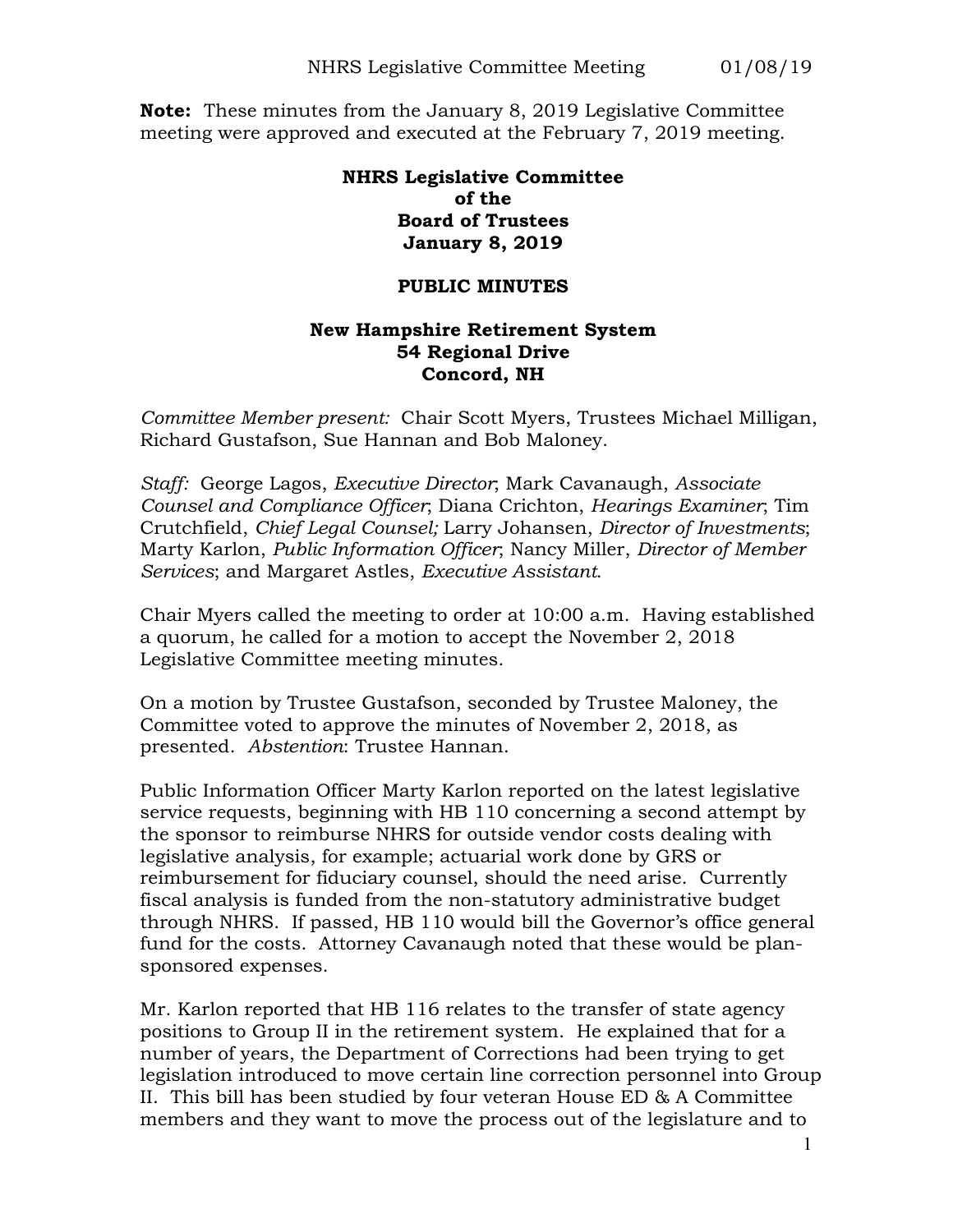**Note:** These minutes from the January 8, 2019 Legislative Committee meeting were approved and executed at the February 7, 2019 meeting.

## **NHRS Legislative Committee of the Board of Trustees January 8, 2019**

## **PUBLIC MINUTES**

## **New Hampshire Retirement System 54 Regional Drive Concord, NH**

*Committee Member present:* Chair Scott Myers, Trustees Michael Milligan, Richard Gustafson, Sue Hannan and Bob Maloney.

*Staff:* George Lagos, *Executive Director*; Mark Cavanaugh, *Associate Counsel and Compliance Officer*; Diana Crichton, *Hearings Examiner*; Tim Crutchfield, *Chief Legal Counsel;* Larry Johansen, *Director of Investments*; Marty Karlon, *Public Information Officer*; Nancy Miller, *Director of Member Services*; and Margaret Astles, *Executive Assistant*.

Chair Myers called the meeting to order at 10:00 a.m. Having established a quorum, he called for a motion to accept the November 2, 2018 Legislative Committee meeting minutes.

On a motion by Trustee Gustafson, seconded by Trustee Maloney, the Committee voted to approve the minutes of November 2, 2018, as presented. *Abstention*: Trustee Hannan.

Public Information Officer Marty Karlon reported on the latest legislative service requests, beginning with HB 110 concerning a second attempt by the sponsor to reimburse NHRS for outside vendor costs dealing with legislative analysis, for example; actuarial work done by GRS or reimbursement for fiduciary counsel, should the need arise. Currently fiscal analysis is funded from the non-statutory administrative budget through NHRS. If passed, HB 110 would bill the Governor's office general fund for the costs. Attorney Cavanaugh noted that these would be plansponsored expenses.

Mr. Karlon reported that HB 116 relates to the transfer of state agency positions to Group II in the retirement system. He explained that for a number of years, the Department of Corrections had been trying to get legislation introduced to move certain line correction personnel into Group II. This bill has been studied by four veteran House ED & A Committee members and they want to move the process out of the legislature and to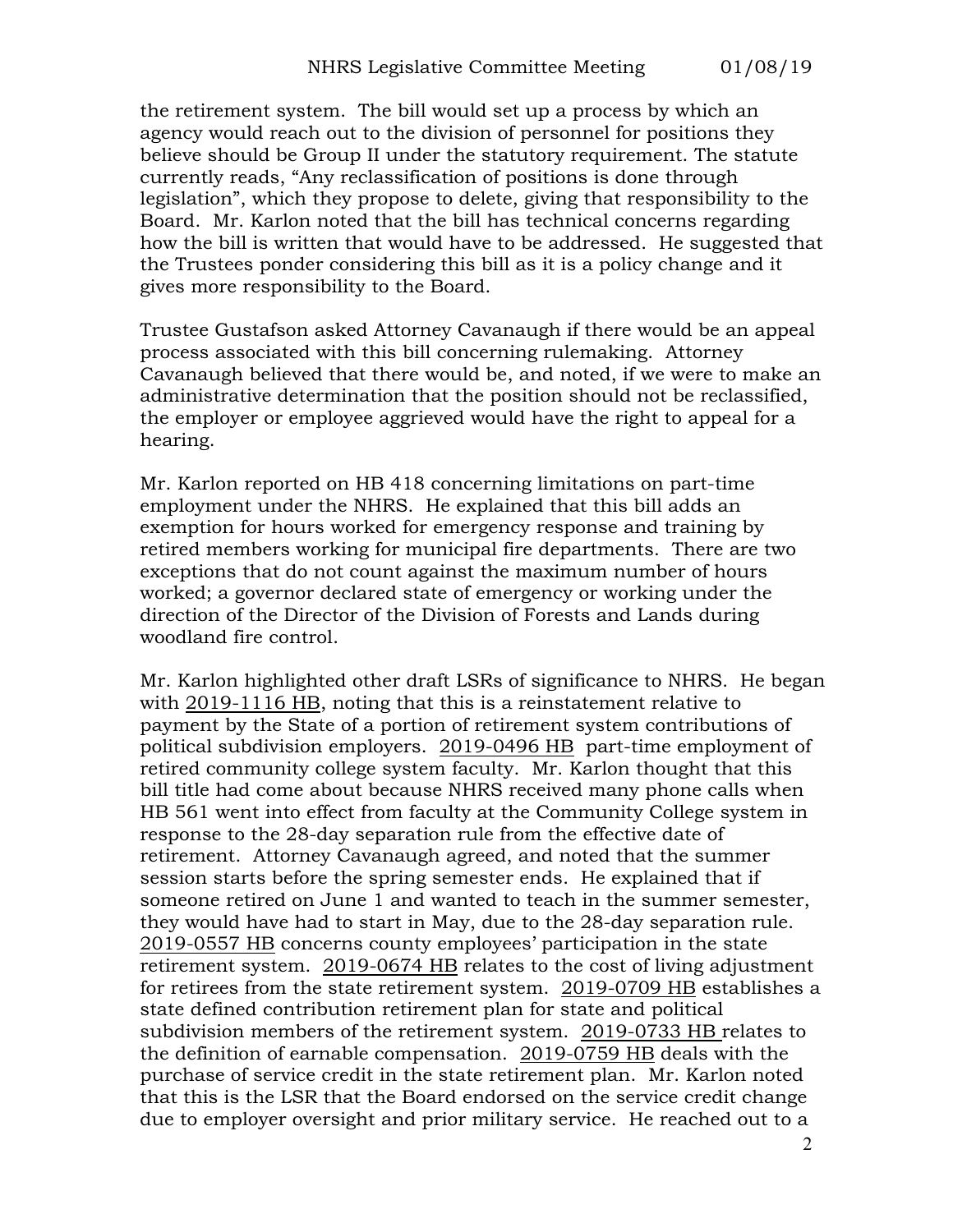the retirement system. The bill would set up a process by which an agency would reach out to the division of personnel for positions they believe should be Group II under the statutory requirement. The statute currently reads, "Any reclassification of positions is done through legislation", which they propose to delete, giving that responsibility to the Board. Mr. Karlon noted that the bill has technical concerns regarding how the bill is written that would have to be addressed. He suggested that the Trustees ponder considering this bill as it is a policy change and it gives more responsibility to the Board.

Trustee Gustafson asked Attorney Cavanaugh if there would be an appeal process associated with this bill concerning rulemaking. Attorney Cavanaugh believed that there would be, and noted, if we were to make an administrative determination that the position should not be reclassified, the employer or employee aggrieved would have the right to appeal for a hearing.

Mr. Karlon reported on HB 418 concerning limitations on part-time employment under the NHRS. He explained that this bill adds an exemption for hours worked for emergency response and training by retired members working for municipal fire departments. There are two exceptions that do not count against the maximum number of hours worked; a governor declared state of emergency or working under the direction of the Director of the Division of Forests and Lands during woodland fire control.

Mr. Karlon highlighted other draft LSRs of significance to NHRS. He began with 2019-1116 HB, noting that this is a reinstatement relative to payment by the State of a portion of retirement system contributions of political subdivision employers. 2019-0496 HB part-time employment of retired community college system faculty. Mr. Karlon thought that this bill title had come about because NHRS received many phone calls when HB 561 went into effect from faculty at the Community College system in response to the 28-day separation rule from the effective date of retirement. Attorney Cavanaugh agreed, and noted that the summer session starts before the spring semester ends. He explained that if someone retired on June 1 and wanted to teach in the summer semester, they would have had to start in May, due to the 28-day separation rule. 2019-0557 HB concerns county employees' participation in the state retirement system. 2019-0674 HB relates to the cost of living adjustment for retirees from the state retirement system. 2019-0709 HB establishes a state defined contribution retirement plan for state and political subdivision members of the retirement system. 2019-0733 HB relates to the definition of earnable compensation. 2019-0759 HB deals with the purchase of service credit in the state retirement plan. Mr. Karlon noted that this is the LSR that the Board endorsed on the service credit change due to employer oversight and prior military service. He reached out to a

2